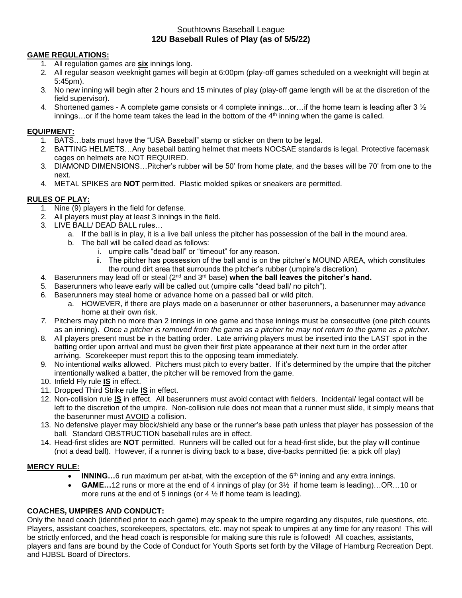# Southtowns Baseball League **12U Baseball Rules of Play (as of 5/5/22)**

### **GAME REGULATIONS:**

- 1. All regulation games are **six** innings long.
- 2. All regular season weeknight games will begin at 6:00pm (play-off games scheduled on a weeknight will begin at 5:45pm).
- 3. No new inning will begin after 2 hours and 15 minutes of play (play-off game length will be at the discretion of the field supervisor).
- 4. Shortened games A complete game consists or 4 complete innings…or…if the home team is leading after 3 ½  $i$ nnings...or if the home team takes the lead in the bottom of the  $4<sup>th</sup>$  inning when the game is called.

#### **EQUIPMENT:**

- 1. BATS…bats must have the "USA Baseball" stamp or sticker on them to be legal.
- 2. BATTING HELMETS…Any baseball batting helmet that meets NOCSAE standards is legal. Protective facemask cages on helmets are NOT REQUIRED.
- 3. DIAMOND DIMENSIONS…Pitcher's rubber will be 50' from home plate, and the bases will be 70' from one to the next.
- 4. METAL SPIKES are **NOT** permitted. Plastic molded spikes or sneakers are permitted.

## **RULES OF PLAY:**

- 1. Nine (9) players in the field for defense.
- 2. All players must play at least 3 innings in the field.
- 3. LIVE BALL/ DEAD BALL rules…
	- a. If the ball is in play, it is a live ball unless the pitcher has possession of the ball in the mound area.
	- b. The ball will be called dead as follows:
		- i. umpire calls "dead ball" or "timeout" for any reason.
		- ii. The pitcher has possession of the ball and is on the pitcher's MOUND AREA, which constitutes the round dirt area that surrounds the pitcher's rubber (umpire's discretion).
- 4. Baserunners may lead off or steal (2nd and 3rd base) **when the ball leaves the pitcher's hand.**
- 5. Baserunners who leave early will be called out (umpire calls "dead ball/ no pitch").
- 6. Baserunners may steal home or advance home on a passed ball or wild pitch.
	- a. HOWEVER, if there are plays made on a baserunner or other baserunners, a baserunner may advance home at their own risk.
- *7.* Pitchers may pitch no more than 2 innings in one game and those innings must be consecutive (one pitch counts as an inning). *Once a pitcher is removed from the game as a pitcher he may not return to the game as a pitcher.*
- 8. All players present must be in the batting order. Late arriving players must be inserted into the LAST spot in the batting order upon arrival and must be given their first plate appearance at their next turn in the order after arriving. Scorekeeper must report this to the opposing team immediately.
- 9. No intentional walks allowed. Pitchers must pitch to every batter. If it's determined by the umpire that the pitcher intentionally walked a batter, the pitcher will be removed from the game.
- 10. Infield Fly rule **IS** in effect.
- 11. Dropped Third Strike rule **IS** in effect.
- 12. Non-collision rule **IS** in effect. All baserunners must avoid contact with fielders. Incidental/ legal contact will be left to the discretion of the umpire. Non-collision rule does not mean that a runner must slide, it simply means that the baserunner must AVOID a collision.
- 13. No defensive player may block/shield any base or the runner's base path unless that player has possession of the ball. Standard OBSTRUCTION baseball rules are in effect.
- 14. Head-first slides are **NOT** permitted. Runners will be called out for a head-first slide, but the play will continue (not a dead ball). However, if a runner is diving back to a base, dive-backs permitted (ie: a pick off play)

## **MERCY RULE:**

- **INNING...**6 run maximum per at-bat, with the exception of the 6<sup>th</sup> inning and any extra innings.
- **GAME…**12 runs or more at the end of 4 innings of play (or 3½ if home team is leading)…OR…10 or more runs at the end of 5 innings (or  $4\frac{1}{2}$  if home team is leading).

### **COACHES, UMPIRES AND CONDUCT:**

Only the head coach (identified prior to each game) may speak to the umpire regarding any disputes, rule questions, etc. Players, assistant coaches, scorekeepers, spectators, etc. may not speak to umpires at any time for any reason! This will be strictly enforced, and the head coach is responsible for making sure this rule is followed! All coaches, assistants, players and fans are bound by the Code of Conduct for Youth Sports set forth by the Village of Hamburg Recreation Dept. and HJBSL Board of Directors.